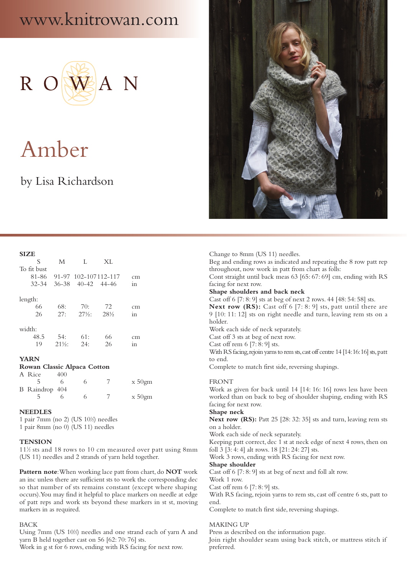## www.knitrowan.com



# Amber

### by Lisa Richardson

| ٧ |
|---|
|---|

| .                    |                          |                          |            |                      |
|----------------------|--------------------------|--------------------------|------------|----------------------|
| S                    | M                        | L                        | XL         |                      |
| To fit bust          |                          |                          |            |                      |
| 81-86                |                          | 91-97 102-107112-117     |            | cm                   |
| $32 - 34$            |                          | $36-38$ $40-42$ $44-46$  |            | 1n                   |
| length:<br>66<br>26  | 68:<br>27:               | 70:<br>$27\frac{1}{2}$ . | 72<br>28\% | cm<br>1 <sub>n</sub> |
| width:<br>48.5<br>19 | 54:<br>$21\frac{1}{2}$ : | 61:<br>24:               | 66<br>26   | cm<br>1n             |

#### **YARN**

#### **Rowan Classic Alpaca Cotton**

| A Rice         | 400 |  |           |
|----------------|-----|--|-----------|
|                |     |  | $x 50$ gm |
| B Raindrop 404 |     |  |           |
|                |     |  | $x 50$ gm |

#### **NEEDLES**

1 pair 7mm (no 2) (US 101 ⁄2) needles 1 pair 8mm (no 0) (US 11) needles

#### **TENSION**

111 ⁄2 sts and 18 rows to 10 cm measured over patt using 8mm (US 11) needles and 2 strands of yarn held together.

**Pattern note**: When working lace patt from chart, do **NOT** work an inc unless there are sufficient sts to work the corresponding dec so that number of sts remains constant (except where shaping occurs). You may find it helpful to place markers on needle at edge of patt reps and work sts beyond these markers in st st, moving markers in as required.

#### BACK

Using 7mm (US 10<sup>1</sup>/<sub>2</sub>) needles and one strand each of yarn A and yarn B held together cast on 56 [62: 70: 76] sts.

Work in g st for 6 rows, ending with RS facing for next row.



Change to 8mm (US 11) needles. Beg and ending rows as indicated and repeating the 8 row patt rep throughout, now work in patt from chart as folls: Cont straight until back meas 63 [65: 67: 69] cm, ending with RS facing for next row. **Shape shoulders and back neck** Cast off 6 [7: 8: 9] sts at beg of next 2 rows. 44 [48: 54: 58] sts. Next row (RS): Cast off 6 [7: 8: 9] sts, patt until there are 9 [10: 11: 12] sts on right needle and turn, leaving rem sts on a holder. Work each side of neck separately. Cast off 3 sts at beg of next row. Cast off rem 6 [7: 8: 9] sts. With RS facing, rejoin yarns to rem sts, cast off centre 14 [14:16:16] sts, patt to end. Complete to match first side, reversing shapings. FRONT Work as given for back until 14 [14: 16: 16] rows less have been worked than on back to beg of shoulder shaping, ending with RS facing for next row. **Shape neck Next row (RS):** Patt 25 [28: 32: 35] sts and turn, leaving rem sts on a holder.

Work each side of neck separately.

Keeping patt correct, dec 1 st at neck edge of next 4 rows, then on foll 3 [3: 4: 4] alt rows. 18 [21: 24: 27] sts.

Work 3 rows, ending with RS facing for next row.

**Shape shoulder**

Cast off 6 [7: 8: 9] sts at beg of next and foll alt row.

Work 1 row.

Cast off rem 6 [7: 8: 9] sts.

With RS facing, rejoin yarns to rem sts, cast off centre 6 sts, patt to end.

Complete to match first side, reversing shapings.

#### MAKING UP

Press as described on the information page.

Join right shoulder seam using back stitch, or mattress stitch if preferred.